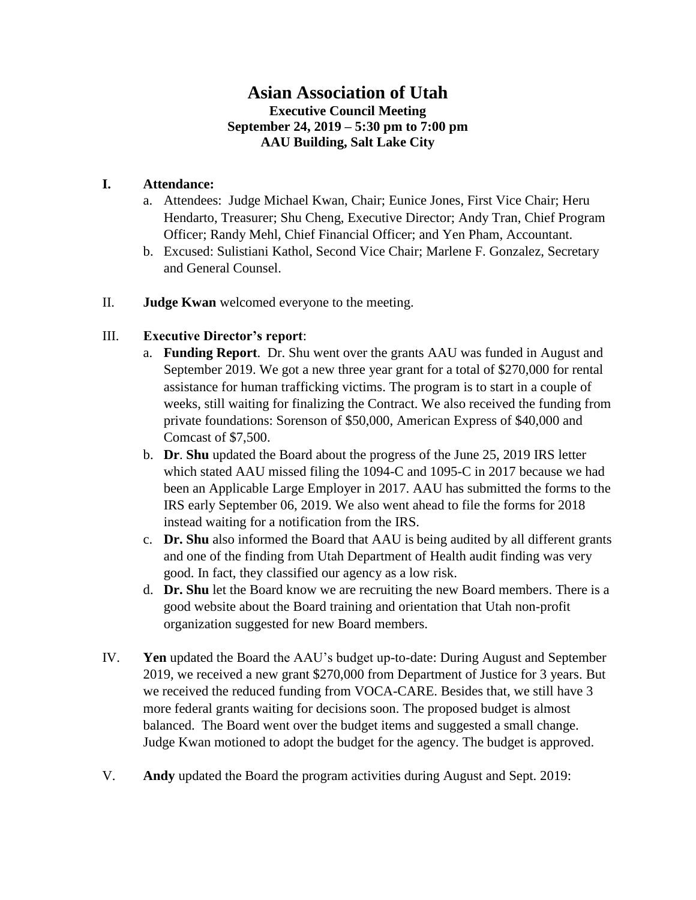## **Asian Association of Utah Executive Council Meeting September 24, 2019 – 5:30 pm to 7:00 pm AAU Building, Salt Lake City**

## **I. Attendance:**

- a. Attendees: Judge Michael Kwan, Chair; Eunice Jones, First Vice Chair; Heru Hendarto, Treasurer; Shu Cheng, Executive Director; Andy Tran, Chief Program Officer; Randy Mehl, Chief Financial Officer; and Yen Pham, Accountant.
- b. Excused: Sulistiani Kathol, Second Vice Chair; Marlene F. Gonzalez, Secretary and General Counsel.
- II. **Judge Kwan** welcomed everyone to the meeting.

## III. **Executive Director's report**:

- a. **Funding Report**. Dr. Shu went over the grants AAU was funded in August and September 2019. We got a new three year grant for a total of \$270,000 for rental assistance for human trafficking victims. The program is to start in a couple of weeks, still waiting for finalizing the Contract. We also received the funding from private foundations: Sorenson of \$50,000, American Express of \$40,000 and Comcast of \$7,500.
- b. **Dr**. **Shu** updated the Board about the progress of the June 25, 2019 IRS letter which stated AAU missed filing the 1094-C and 1095-C in 2017 because we had been an Applicable Large Employer in 2017. AAU has submitted the forms to the IRS early September 06, 2019. We also went ahead to file the forms for 2018 instead waiting for a notification from the IRS.
- c. **Dr. Shu** also informed the Board that AAU is being audited by all different grants and one of the finding from Utah Department of Health audit finding was very good. In fact, they classified our agency as a low risk.
- d. **Dr. Shu** let the Board know we are recruiting the new Board members. There is a good website about the Board training and orientation that Utah non-profit organization suggested for new Board members.
- IV. **Yen** updated the Board the AAU's budget up-to-date: During August and September 2019, we received a new grant \$270,000 from Department of Justice for 3 years. But we received the reduced funding from VOCA-CARE. Besides that, we still have 3 more federal grants waiting for decisions soon. The proposed budget is almost balanced. The Board went over the budget items and suggested a small change. Judge Kwan motioned to adopt the budget for the agency. The budget is approved.
- V. **Andy** updated the Board the program activities during August and Sept. 2019: